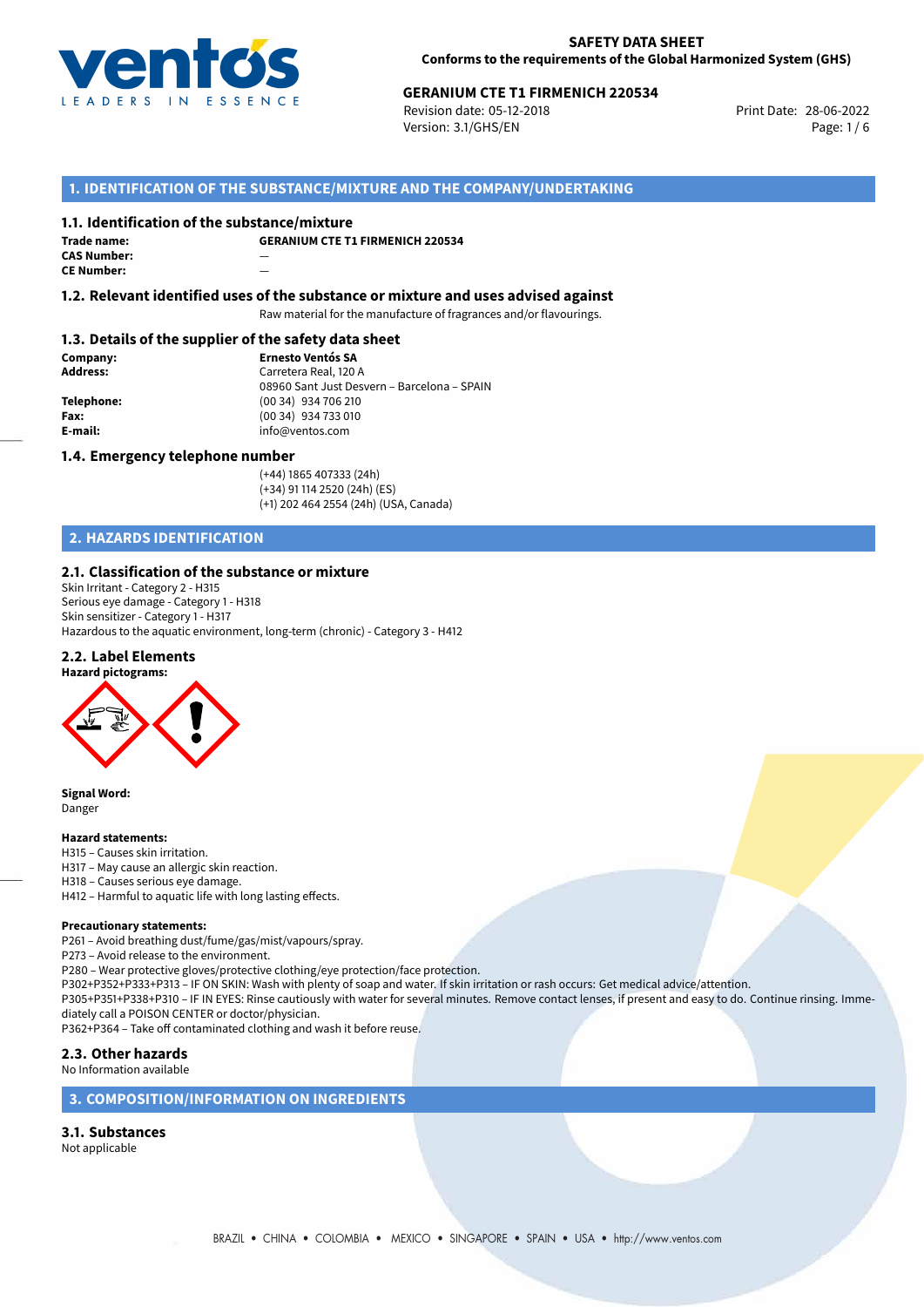

# **GERANIUM CTE T1 FIRMENICH 220534**<br> **28-06-2022** Print Date: 28-06-2022<br>
Print Date: 28-06-2022

Revision date: 05-12-2018 Version: 3.1/GHS/EN Page: 1 / 6

## **1. IDENTIFICATION OF THE SUBSTANCE/MIXTURE AND THE COMPANY/UNDERTAKING**

### **1.1. Identification of the substance/mixture**

**Trade name: CAS Number:** — **CE Number:** —

**GERANIUM CTE T1 FIRMENICH 220534**

**1.2. Relevant identified uses of the substance or mixture and uses advised against**

Raw material for the manufacture of fragrances and/or flavourings.

### **1.3. Details of the supplier of the safety data sheet**

**Company: Ernesto Ventós SA Address:** Carretera Real, 120 A 08960 Sant Just Desvern – Barcelona – SPAIN **Telephone:** (00 34) 934 706 210 **Fax:** (00 34) 934 733 010<br> **E-mail: E-mail:** info@ventos.com **E-mail:** info@ventos.com

### **1.4. Emergency telephone number**

(+44) 1865 407333 (24h) (+34) 91 114 2520 (24h) (ES) (+1) 202 464 2554 (24h) (USA, Canada)

## **2. HAZARDS IDENTIFICATION**

## **2.1. Classification of the substance or mixture**

Skin Irritant - Category 2 - H315 Serious eye damage - Category 1 - H318 Skin sensitizer - Category 1 - H317 Hazardous to the aquatic environment, long-term (chronic) - Category 3 - H412

## **2.2. Label Elements**



**Signal Word:** Danger

#### **Hazard statements:**

- H315 Causes skin irritation.
- H317 May cause an allergic skin reaction.
- H318 Causes serious eye damage.
- H412 Harmful to aquatic life with long lasting effects.

#### **Precautionary statements:**

P261 – Avoid breathing dust/fume/gas/mist/vapours/spray.

- P273 Avoid release to the environment.
- P280 Wear protective gloves/protective clothing/eye protection/face protection.
- P302+P352+P333+P313 IF ON SKIN: Wash with plenty of soap and water. If skin irritation or rash occurs: Get medical advice/attention.

P305+P351+P338+P310 – IF IN EYES: Rinse cautiously with water for several minutes. Remove contact lenses, if present and easy to do. Continue rinsing. Immediately call a POISON CENTER or doctor/physician.

P362+P364 – Take off contaminated clothing and wash it before reuse.

### **2.3. Other hazards**

No Information available

### **3. COMPOSITION/INFORMATION ON INGREDIENTS**

### **3.1. Substances**

Not applicable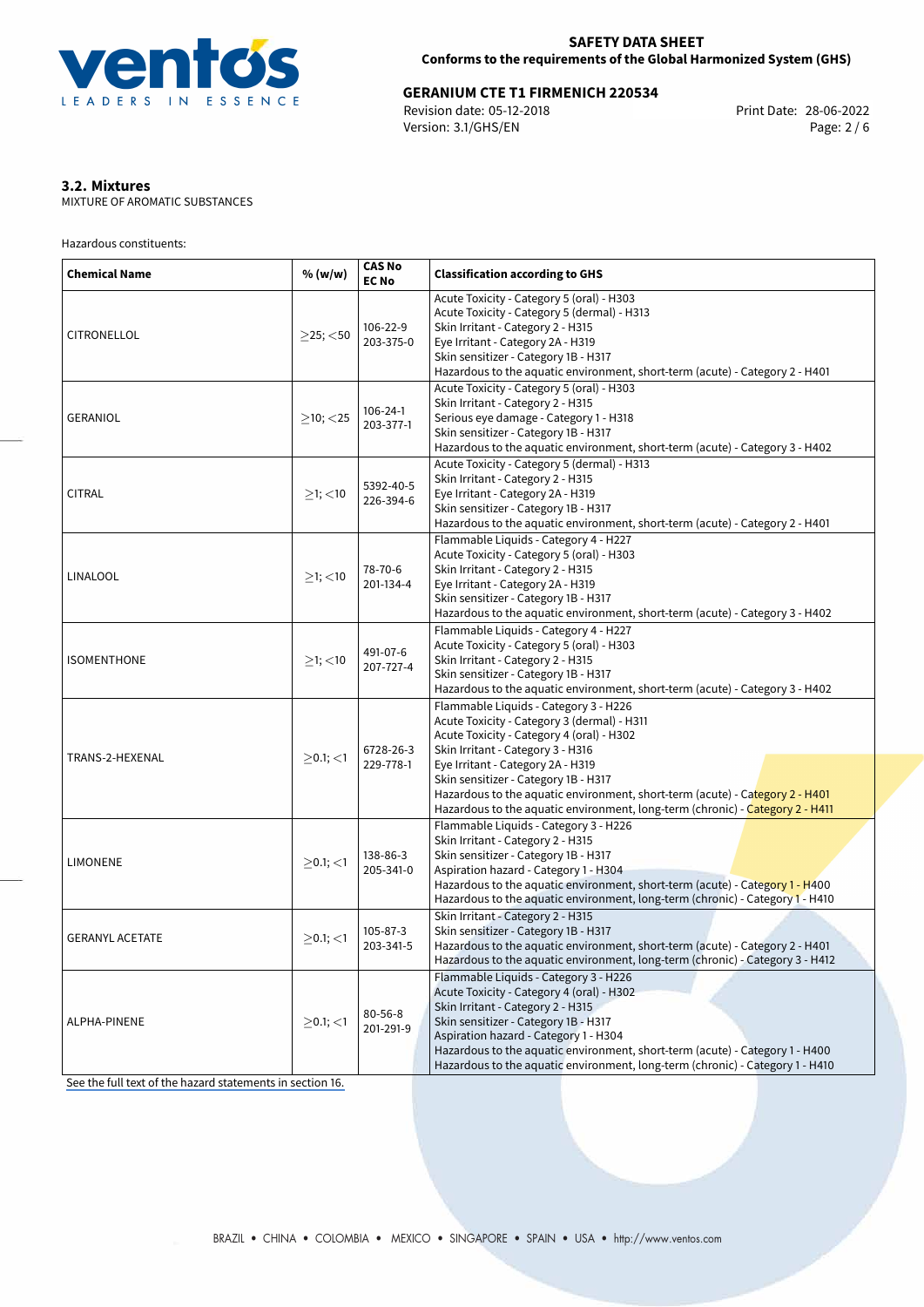

# **GERANIUM CTE T1 FIRMENICH 220534**<br>Revision date: 05-12-2018 **Film Canadage 128-06-2022** Print Date: 28-06-2022

Revision date: 05-12-2018 Version: 3.1/GHS/EN Page: 2 / 6

## **3.2. Mixtures**

MIXTURE OF AROMATIC SUBSTANCES

Hazardous constituents:

| <b>Chemical Name</b>   | % (w/w)        | <b>CAS No</b><br><b>EC No</b> | <b>Classification according to GHS</b>                                                                                                                                                                                                                                                                                                                                                                               |  |  |  |  |
|------------------------|----------------|-------------------------------|----------------------------------------------------------------------------------------------------------------------------------------------------------------------------------------------------------------------------------------------------------------------------------------------------------------------------------------------------------------------------------------------------------------------|--|--|--|--|
| CITRONELLOL            | $\geq$ 25; <50 | 106-22-9<br>203-375-0         | Acute Toxicity - Category 5 (oral) - H303<br>Acute Toxicity - Category 5 (dermal) - H313<br>Skin Irritant - Category 2 - H315<br>Eye Irritant - Category 2A - H319<br>Skin sensitizer - Category 1B - H317<br>Hazardous to the aquatic environment, short-term (acute) - Category 2 - H401                                                                                                                           |  |  |  |  |
| <b>GERANIOL</b>        | $>10$ ; < 25   | $106 - 24 - 1$<br>203-377-1   | Acute Toxicity - Category 5 (oral) - H303<br>Skin Irritant - Category 2 - H315<br>Serious eye damage - Category 1 - H318<br>Skin sensitizer - Category 1B - H317<br>Hazardous to the aquatic environment, short-term (acute) - Category 3 - H402                                                                                                                                                                     |  |  |  |  |
| <b>CITRAL</b>          | $>1$ ; <10     | 5392-40-5<br>226-394-6        | Acute Toxicity - Category 5 (dermal) - H313<br>Skin Irritant - Category 2 - H315<br>Eye Irritant - Category 2A - H319<br>Skin sensitizer - Category 1B - H317<br>Hazardous to the aquatic environment, short-term (acute) - Category 2 - H401                                                                                                                                                                        |  |  |  |  |
| LINALOOL               | $>1$ ; $<$ 10  | 78-70-6<br>201-134-4          | Flammable Liquids - Category 4 - H227<br>Acute Toxicity - Category 5 (oral) - H303<br>Skin Irritant - Category 2 - H315<br>Eye Irritant - Category 2A - H319<br>Skin sensitizer - Category 1B - H317<br>Hazardous to the aquatic environment, short-term (acute) - Category 3 - H402                                                                                                                                 |  |  |  |  |
| <b>ISOMENTHONE</b>     | $>1$ ; $<$ 10  | 491-07-6<br>207-727-4         | Flammable Liquids - Category 4 - H227<br>Acute Toxicity - Category 5 (oral) - H303<br>Skin Irritant - Category 2 - H315<br>Skin sensitizer - Category 1B - H317<br>Hazardous to the aquatic environment, short-term (acute) - Category 3 - H402                                                                                                                                                                      |  |  |  |  |
| TRANS-2-HEXENAL        | $>0.1$ ; $<$ 1 | 6728-26-3<br>229-778-1        | Flammable Liquids - Category 3 - H226<br>Acute Toxicity - Category 3 (dermal) - H311<br>Acute Toxicity - Category 4 (oral) - H302<br>Skin Irritant - Category 3 - H316<br>Eye Irritant - Category 2A - H319<br>Skin sensitizer - Category 1B - H317<br>Hazardous to the aquatic environment, short-term (acute) - Category 2 - H401<br>Hazardous to the aquatic environment, long-term (chronic) - Category 2 - H411 |  |  |  |  |
| <b>LIMONENE</b>        | $>0.1$ ; <1    | 138-86-3<br>205-341-0         | Flammable Liquids - Category 3 - H226<br>Skin Irritant - Category 2 - H315<br>Skin sensitizer - Category 1B - H317<br>Aspiration hazard - Category 1 - H304<br>Hazardous to the aquatic environment, short-term (acute) - Category 1 - H400<br>Hazardous to the aquatic environment, long-term (chronic) - Category 1 - H410                                                                                         |  |  |  |  |
| <b>GERANYL ACETATE</b> | $>0.1$ ; <1    | 105-87-3<br>203-341-5         | Skin Irritant - Category 2 - H315<br>Skin sensitizer - Category 1B - H317<br>Hazardous to the aquatic environment, short-term (acute) - Category 2 - H401<br>Hazardous to the aquatic environment, long-term (chronic) - Category 3 - H412                                                                                                                                                                           |  |  |  |  |
| <b>ALPHA-PINENE</b>    | $>0.1$ ; <1    | $80 - 56 - 8$<br>201-291-9    | Flammable Liquids - Category 3 - H226<br>Acute Toxicity - Category 4 (oral) - H302<br>Skin Irritant - Category 2 - H315<br>Skin sensitizer - Category 1B - H317<br>Aspiration hazard - Category 1 - H304<br>Hazardous to the aquatic environment, short-term (acute) - Category 1 - H400<br>Hazardous to the aquatic environment, long-term (chronic) - Category 1 - H410                                            |  |  |  |  |

[See the full text of the hazard statements in section 16.](#page-5-0)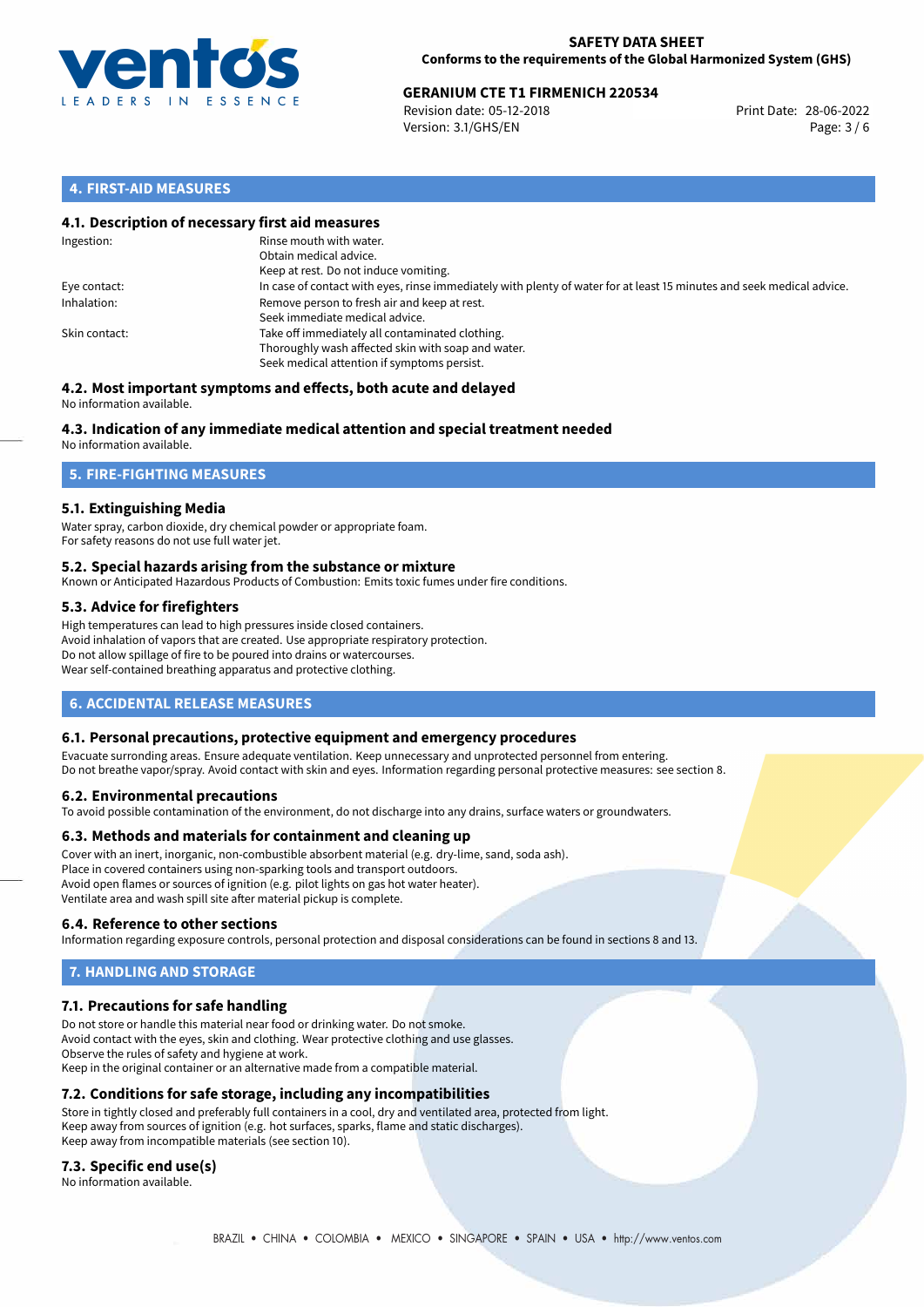

# **GERANIUM CTE T1 FIRMENICH 220534**<br> **28-06-2022** Print Date: 28-06-2022<br>
Print Date: 28-06-2022

Revision date: 05-12-2018 Version: 3.1/GHS/EN Page: 3 / 6

## **4. FIRST-AID MEASURES**

### **4.1. Description of necessary first aid measures**

| Ingestion:    | Rinse mouth with water.<br>Obtain medical advice.<br>Keep at rest. Do not induce vomiting.                                                           |
|---------------|------------------------------------------------------------------------------------------------------------------------------------------------------|
| Eye contact:  | In case of contact with eyes, rinse immediately with plenty of water for at least 15 minutes and seek medical advice.                                |
| Inhalation:   | Remove person to fresh air and keep at rest.<br>Seek immediate medical advice.                                                                       |
| Skin contact: | Take off immediately all contaminated clothing.<br>Thoroughly wash affected skin with soap and water.<br>Seek medical attention if symptoms persist. |

### **4.2. Most important symptoms and effects, both acute and delayed** No information available.

## **4.3. Indication of any immediate medical attention and special treatment needed**

No information available.

## **5. FIRE-FIGHTING MEASURES**

## **5.1. Extinguishing Media**

Water spray, carbon dioxide, dry chemical powder or appropriate foam. For safety reasons do not use full water jet.

### **5.2. Special hazards arising from the substance or mixture**

Known or Anticipated Hazardous Products of Combustion: Emits toxic fumes under fire conditions.

## **5.3. Advice for firefighters**

High temperatures can lead to high pressures inside closed containers. Avoid inhalation of vapors that are created. Use appropriate respiratory protection. Do not allow spillage of fire to be poured into drains or watercourses. Wear self-contained breathing apparatus and protective clothing.

## **6. ACCIDENTAL RELEASE MEASURES**

### **6.1. Personal precautions, protective equipment and emergency procedures**

Evacuate surronding areas. Ensure adequate ventilation. Keep unnecessary and unprotected personnel from entering. Do not breathe vapor/spray. Avoid contact with skin and eyes. Information regarding personal protective measures: see section 8.

### **6.2. Environmental precautions**

To avoid possible contamination of the environment, do not discharge into any drains, surface waters or groundwaters.

### **6.3. Methods and materials for containment and cleaning up**

Cover with an inert, inorganic, non-combustible absorbent material (e.g. dry-lime, sand, soda ash). Place in covered containers using non-sparking tools and transport outdoors. Avoid open flames or sources of ignition (e.g. pilot lights on gas hot water heater). Ventilate area and wash spill site after material pickup is complete.

### **6.4. Reference to other sections**

Information regarding exposure controls, personal protection and disposal considerations can be found in sections 8 and 13.

## **7. HANDLING AND STORAGE**

### **7.1. Precautions for safe handling**

Do not store or handle this material near food or drinking water. Do not smoke. Avoid contact with the eyes, skin and clothing. Wear protective clothing and use glasses. Observe the rules of safety and hygiene at work. Keep in the original container or an alternative made from a compatible material.

### **7.2. Conditions for safe storage, including any incompatibilities**

Store in tightly closed and preferably full containers in a cool, dry and ventilated area, protected from light. Keep away from sources of ignition (e.g. hot surfaces, sparks, flame and static discharges). Keep away from incompatible materials (see section 10).

### **7.3. Specific end use(s)**

No information available.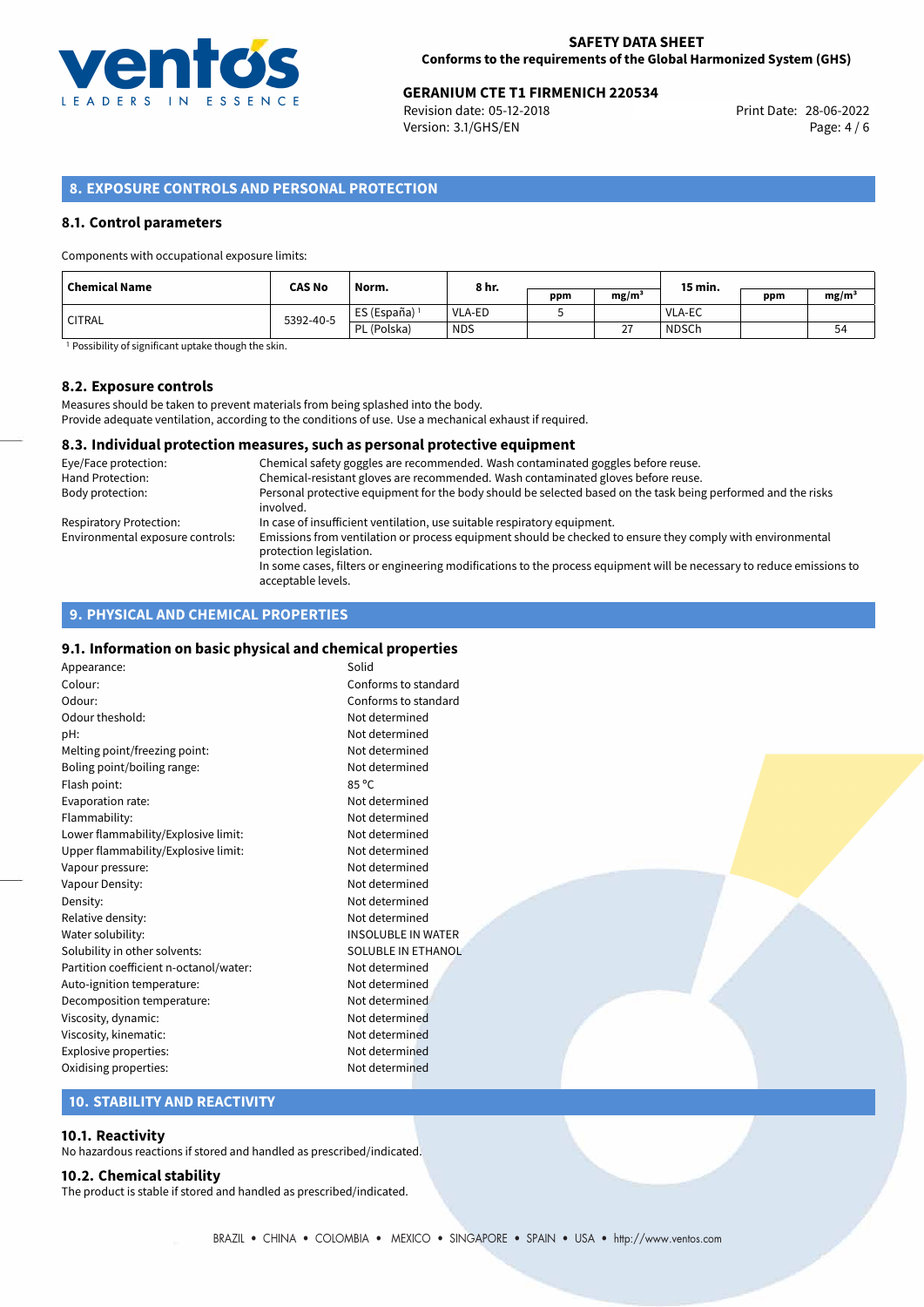

# **GERANIUM CTE T1 FIRMENICH 220534**<br>
Revision date: 05-12-2018<br>
Print Date: 28-06-2022

Revision date: 05-12-2018 Version: 3.1/GHS/EN Page: 4 / 6

## **8. EXPOSURE CONTROLS AND PERSONAL PROTECTION**

### **8.1. Control parameters**

Components with occupational exposure limits:

| <b>Chemical Name</b> | <b>CAS No</b> | Norm.         | 8 hr.         |     |                   | 15 min.       |     |                   |
|----------------------|---------------|---------------|---------------|-----|-------------------|---------------|-----|-------------------|
|                      |               |               |               | ppm | mg/m <sup>3</sup> |               | ppm | mg/m <sup>3</sup> |
| <b>CITRAL</b>        | 5392-40-5     | ES (España) ' | <b>VLA-ED</b> |     |                   | <b>VLA-EC</b> |     |                   |
|                      |               | PL (Polska)   | <b>NDS</b>    |     | 27                | <b>NDSCh</b>  |     | 54                |

<sup>1</sup> Possibility of significant uptake though the skin.

### **8.2. Exposure controls**

Measures should be taken to prevent materials from being splashed into the body. Provide adequate ventilation, according to the conditions of use. Use a mechanical exhaust if required.

### **8.3. Individual protection measures, such as personal protective equipment**

| Eye/Face protection:             | Chemical safety goggles are recommended. Wash contaminated goggles before reuse.                                                            |
|----------------------------------|---------------------------------------------------------------------------------------------------------------------------------------------|
| Hand Protection:                 | Chemical-resistant gloves are recommended. Wash contaminated gloves before reuse.                                                           |
| Body protection:                 | Personal protective equipment for the body should be selected based on the task being performed and the risks<br>involved.                  |
| Respiratory Protection:          | In case of insufficient ventilation, use suitable respiratory equipment.                                                                    |
| Environmental exposure controls: | Emissions from ventilation or process equipment should be checked to ensure they comply with environmental<br>protection legislation.       |
|                                  | In some cases, filters or engineering modifications to the process equipment will be necessary to reduce emissions to<br>acceptable levels. |

## **9. PHYSICAL AND CHEMICAL PROPERTIES**

### **9.1. Information on basic physical and chemical properties**

| Appearance:                            | Solid                     |
|----------------------------------------|---------------------------|
| Colour:                                | Conforms to standard      |
| Odour:                                 | Conforms to standard      |
| Odour theshold:                        | Not determined            |
| pH:                                    | Not determined            |
| Melting point/freezing point:          | Not determined            |
| Boling point/boiling range:            | Not determined            |
| Flash point:                           | 85 °C                     |
| Evaporation rate:                      | Not determined            |
| Flammability:                          | Not determined            |
| Lower flammability/Explosive limit:    | Not determined            |
| Upper flammability/Explosive limit:    | Not determined            |
| Vapour pressure:                       | Not determined            |
| Vapour Density:                        | Not determined            |
| Density:                               | Not determined            |
| Relative density:                      | Not determined            |
| Water solubility:                      | <b>INSOLUBLE IN WATER</b> |
| Solubility in other solvents:          | SOLUBLE IN ETHANOL        |
| Partition coefficient n-octanol/water: | Not determined            |
| Auto-ignition temperature:             | Not determined            |
| Decomposition temperature:             | Not determined            |
| Viscosity, dynamic:                    | Not determined            |
| Viscosity, kinematic:                  | Not determined            |
| Explosive properties:                  | Not determined            |
| Oxidising properties:                  | Not determined            |

### **10. STABILITY AND REACTIVITY**

### **10.1. Reactivity**

No hazardous reactions if stored and handled as prescribed/indicated.

### **10.2. Chemical stability**

The product is stable if stored and handled as prescribed/indicated.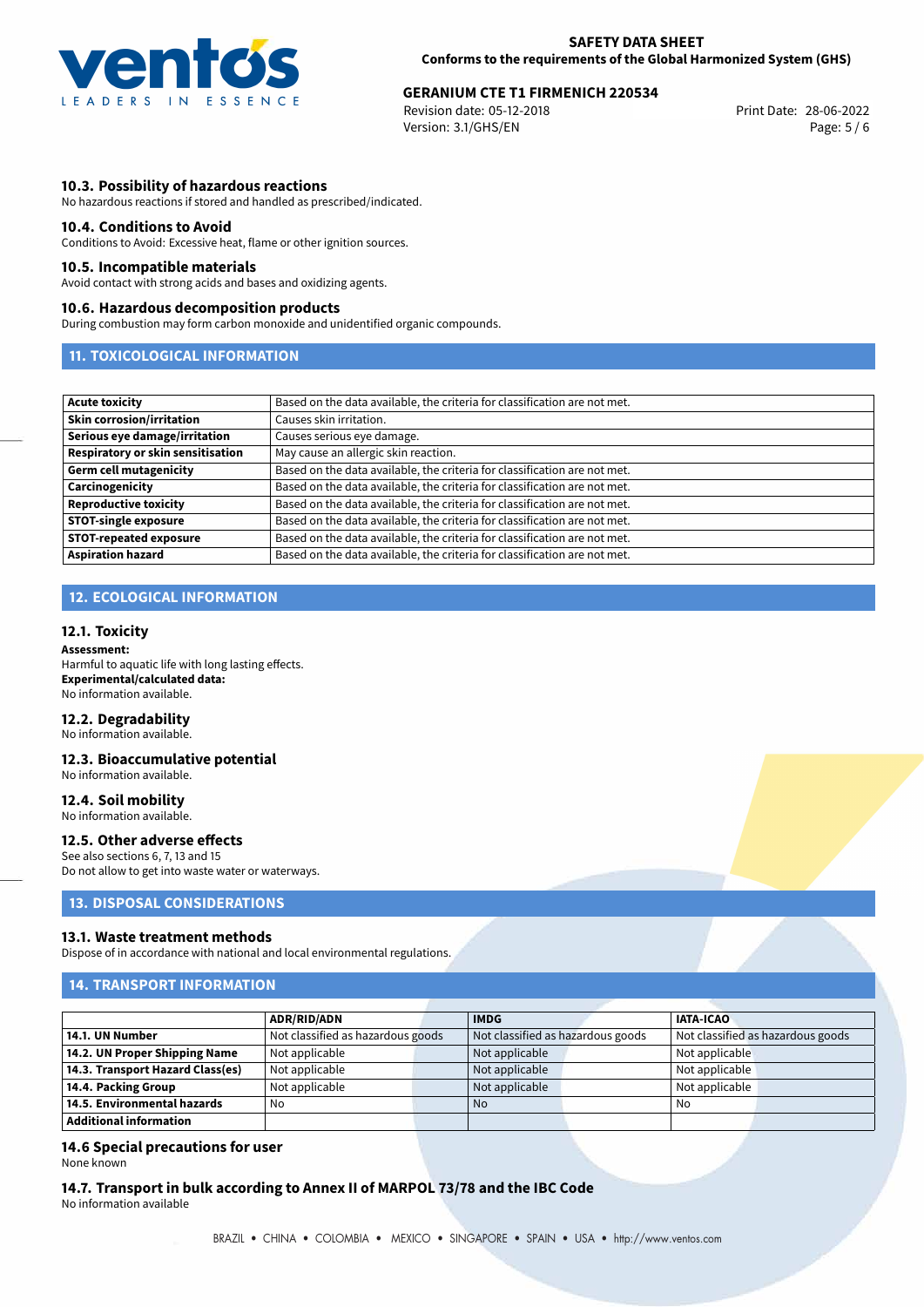

# **GERANIUM CTE T1 FIRMENICH 220534**<br>
Revision date: 05-12-2018<br>
Print Date: 28-06-2022

Revision date: 05-12-2018 Version: 3.1/GHS/EN Page: 5 / 6

### **10.3. Possibility of hazardous reactions**

No hazardous reactions if stored and handled as prescribed/indicated.

### **10.4. Conditions to Avoid**

Conditions to Avoid: Excessive heat, flame or other ignition sources.

### **10.5. Incompatible materials**

Avoid contact with strong acids and bases and oxidizing agents.

#### **10.6. Hazardous decomposition products**

During combustion may form carbon monoxide and unidentified organic compounds.

### **11. TOXICOLOGICAL INFORMATION**

| Acute toxicity                    | Based on the data available, the criteria for classification are not met. |
|-----------------------------------|---------------------------------------------------------------------------|
| <b>Skin corrosion/irritation</b>  | Causes skin irritation.                                                   |
| Serious eye damage/irritation     | Causes serious eye damage.                                                |
| Respiratory or skin sensitisation | May cause an allergic skin reaction.                                      |
| Germ cell mutagenicity            | Based on the data available, the criteria for classification are not met. |
| <b>Carcinogenicity</b>            | Based on the data available, the criteria for classification are not met. |
| Reproductive toxicity             | Based on the data available, the criteria for classification are not met. |
| <b>STOT-single exposure</b>       | Based on the data available, the criteria for classification are not met. |
| <b>STOT-repeated exposure</b>     | Based on the data available, the criteria for classification are not met. |
| Aspiration hazard                 | Based on the data available, the criteria for classification are not met. |

## **12. ECOLOGICAL INFORMATION**

### **12.1. Toxicity**

**Assessment:** Harmful to aquatic life with long lasting effects. **Experimental/calculated data:** No information available.

## **12.2. Degradability**

No information available.

#### **12.3. Bioaccumulative potential** No information available.

**12.4. Soil mobility** No information available.

### **12.5. Other adverse effects**

See also sections 6, 7, 13 and 15 Do not allow to get into waste water or waterways.

### **13. DISPOSAL CONSIDERATIONS**

### **13.1. Waste treatment methods**

Dispose of in accordance with national and local environmental regulations.

### **14. TRANSPORT INFORMATION**

|                                  | <b>ADR/RID/ADN</b>                | <b>IMDG</b>                       |  | <b>IATA-ICAO</b> |                                   |
|----------------------------------|-----------------------------------|-----------------------------------|--|------------------|-----------------------------------|
| 14.1. UN Number                  | Not classified as hazardous goods | Not classified as hazardous goods |  |                  | Not classified as hazardous goods |
| 14.2. UN Proper Shipping Name    | Not applicable                    | Not applicable                    |  | Not applicable   |                                   |
| 14.3. Transport Hazard Class(es) | Not applicable                    | Not applicable                    |  | Not applicable   |                                   |
| 14.4. Packing Group              | Not applicable                    | Not applicable                    |  | Not applicable   |                                   |
| 14.5. Environmental hazards      | No                                | <b>No</b>                         |  | No               |                                   |
| $\,$ Additional information $\,$ |                                   |                                   |  |                  |                                   |

### **14.6 Special precautions for user** None known

**14.7. Transport in bulk according to Annex II of MARPOL 73/78 and the IBC Code** No information available